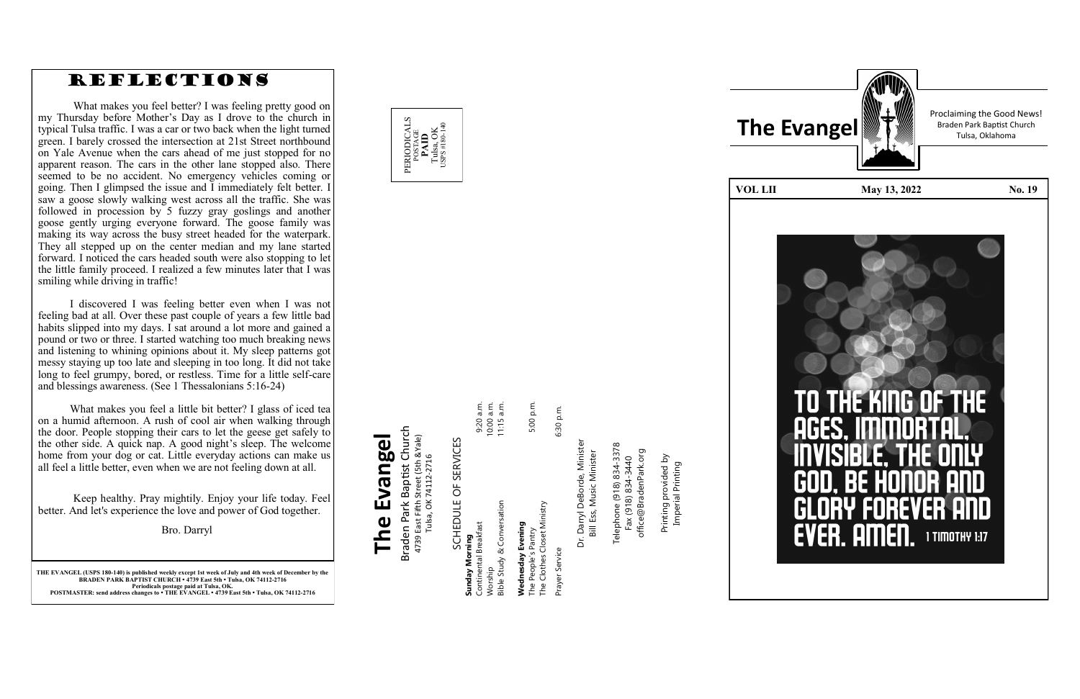

**THE EVANGEL (USPS 180 -140) is published weekly except 1st week of July and 4th week of December by the BRADEN PARK BAPTIST CHURCH • 4739 East 5th • Tulsa, OK 74112 -2716 Periodicals postage paid at Tulsa, OK. POSTMASTER: send address changes to • THE EVANGEL • 4739 East 5th • Tulsa, OK 74112 -2716**

### Braden Park Baptist Church<br>4739 East Fifth Street (5th &Yale)<br>Tulsa, OK 74112-2716 Braden Park Baptist Church **The Evangel** 4739 East Fifth Street (5th &Yale) The Evangel Tulsa, OK 74112-2716

SCHEDULE OF SERVICES SCHEDULE OF SERVICES

# Prayer Service 6:30 p.m. The Clothes Closet Ministry Service aver

6:30 p.m.

Darryl DeBorde, Minister<br>Bill Ess, Music Minister Dr. Darryl DeBorde, Minister Bill Ess, Music Minister .<br>آ



Telephone (918) 834-3378<br>Fax (918) 834-3440 Telephone (918) 834-3378 office@BradenPark.org office@BradenPark.org Fax (918) 834-3440

rinting provided by<br>Imperial Printing Printing provided by Imperial Printing Printing

| こここ こうしゅう しょういん             |              |
|-----------------------------|--------------|
| Sunday Morning              |              |
| Continental Breakfast       | 9:20 a.m.    |
| Worship                     | 10:00 a.m.   |
| Bible Study & Conversation  | $11:15$ a.m. |
|                             |              |
| Wednesday Evening           |              |
| The People's Pantry         | 5:00 p.m.    |
| The Clothes Closet Ministry |              |

 $E$  $E$  $E$ 

Proclaiming the Good News!



#### REFLECTIONS

What makes you feel better? I was feeling pretty good on my Thursday before Mother 's Day as I drove to the church in typical Tulsa traffic. I was a car or two back when the light turned green. I barely crossed the intersection at 21st Street northbound on Yale Avenue when the cars ahead of me just stopped for no apparent reason. The cars in the other lane stopped also. There seemed to be no accident. No emergency vehicles coming or going. Then I glimpsed the issue and I immediately felt better. I saw a goose slowly walking west across all the traffic. She was followed in procession by 5 fuzzy gray goslings and another goose gently urging everyone forward. The goose family was making its way across the busy street headed for the waterpark. They all stepped up on the center median and my lane started forward. I noticed the cars headed south were also stopping to let the little family proceed. I realized a few minutes later that I was smiling while driving in traffic!

I discovered I was feeling better even when I was not feeling bad at all. Over these past couple of years a few little bad habits slipped into my days. I sat around a lot more and gained a pound or two or three. I started watching too much breaking news and listening to whining opinions about it. My sleep patterns got messy staying up too late and sleeping in too long. It did not take long to feel grumpy, bored, or restless. Time for a little self-care and blessings awareness. (See 1 Thessalonians 5:16 -24)

What makes you feel a little bit better? I glass of iced tea on a humid afternoon. A rush of cool air when walking through the door. People stopping their cars to let the geese get safely to the other side. A quick nap. A good night 's sleep. The welcome home from your dog or cat. Little everyday actions can make us all feel a little better, even when we are not feeling down at all.

Keep healthy. Pray mightily. Enjoy your life today. Feel better. And let's experience the love and power of God together.

Bro. Darryl